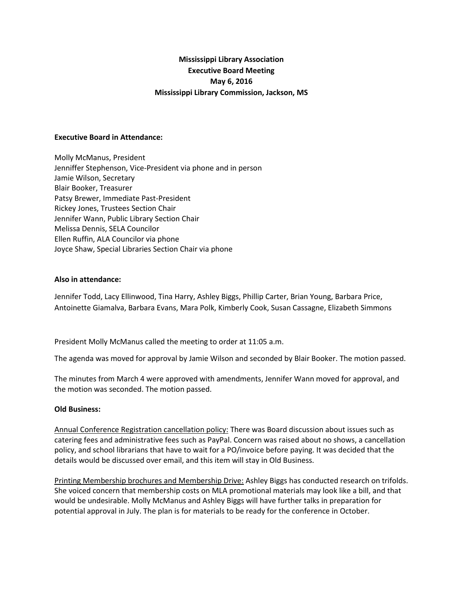# **Mississippi Library Association Executive Board Meeting May 6, 2016 Mississippi Library Commission, Jackson, MS**

#### **Executive Board in Attendance:**

Molly McManus, President Jenniffer Stephenson, Vice-President via phone and in person Jamie Wilson, Secretary Blair Booker, Treasurer Patsy Brewer, Immediate Past-President Rickey Jones, Trustees Section Chair Jennifer Wann, Public Library Section Chair Melissa Dennis, SELA Councilor Ellen Ruffin, ALA Councilor via phone Joyce Shaw, Special Libraries Section Chair via phone

### **Also in attendance:**

Jennifer Todd, Lacy Ellinwood, Tina Harry, Ashley Biggs, Phillip Carter, Brian Young, Barbara Price, Antoinette Giamalva, Barbara Evans, Mara Polk, Kimberly Cook, Susan Cassagne, Elizabeth Simmons

President Molly McManus called the meeting to order at 11:05 a.m.

The agenda was moved for approval by Jamie Wilson and seconded by Blair Booker. The motion passed.

The minutes from March 4 were approved with amendments, Jennifer Wann moved for approval, and the motion was seconded. The motion passed.

## **Old Business:**

Annual Conference Registration cancellation policy: There was Board discussion about issues such as catering fees and administrative fees such as PayPal. Concern was raised about no shows, a cancellation policy, and school librarians that have to wait for a PO/invoice before paying. It was decided that the details would be discussed over email, and this item will stay in Old Business.

Printing Membership brochures and Membership Drive: Ashley Biggs has conducted research on trifolds. She voiced concern that membership costs on MLA promotional materials may look like a bill, and that would be undesirable. Molly McManus and Ashley Biggs will have further talks in preparation for potential approval in July. The plan is for materials to be ready for the conference in October.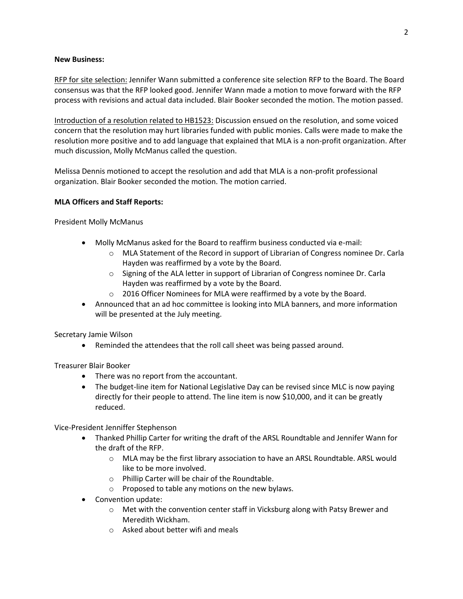### **New Business:**

RFP for site selection: Jennifer Wann submitted a conference site selection RFP to the Board. The Board consensus was that the RFP looked good. Jennifer Wann made a motion to move forward with the RFP process with revisions and actual data included. Blair Booker seconded the motion. The motion passed.

Introduction of a resolution related to HB1523: Discussion ensued on the resolution, and some voiced concern that the resolution may hurt libraries funded with public monies. Calls were made to make the resolution more positive and to add language that explained that MLA is a non-profit organization. After much discussion, Molly McManus called the question.

Melissa Dennis motioned to accept the resolution and add that MLA is a non-profit professional organization. Blair Booker seconded the motion. The motion carried.

## **MLA Officers and Staff Reports:**

President Molly McManus

- Molly McManus asked for the Board to reaffirm business conducted via e-mail:
	- o MLA Statement of the Record in support of Librarian of Congress nominee Dr. Carla Hayden was reaffirmed by a vote by the Board.
	- o Signing of the ALA letter in support of Librarian of Congress nominee Dr. Carla Hayden was reaffirmed by a vote by the Board.
	- o 2016 Officer Nominees for MLA were reaffirmed by a vote by the Board.
- Announced that an ad hoc committee is looking into MLA banners, and more information will be presented at the July meeting.

Secretary Jamie Wilson

Reminded the attendees that the roll call sheet was being passed around.

Treasurer Blair Booker

- There was no report from the accountant.
- The budget-line item for National Legislative Day can be revised since MLC is now paying directly for their people to attend. The line item is now \$10,000, and it can be greatly reduced.

Vice-President Jenniffer Stephenson

- Thanked Phillip Carter for writing the draft of the ARSL Roundtable and Jennifer Wann for the draft of the RFP.
	- o MLA may be the first library association to have an ARSL Roundtable. ARSL would like to be more involved.
	- o Phillip Carter will be chair of the Roundtable.
	- o Proposed to table any motions on the new bylaws.
- Convention update:
	- o Met with the convention center staff in Vicksburg along with Patsy Brewer and Meredith Wickham.
	- o Asked about better wifi and meals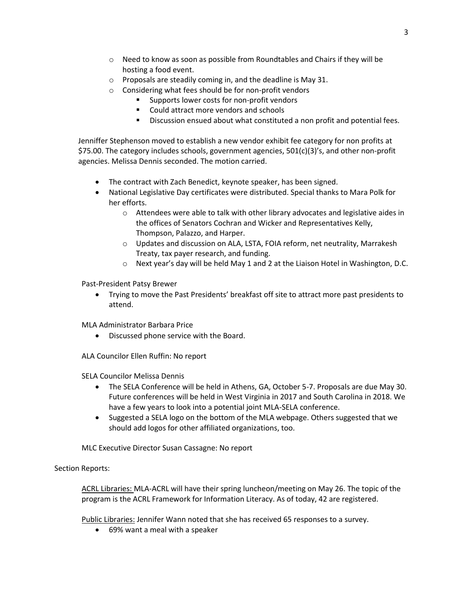- o Need to know as soon as possible from Roundtables and Chairs if they will be hosting a food event.
- o Proposals are steadily coming in, and the deadline is May 31.
- o Considering what fees should be for non-profit vendors
	- Supports lower costs for non-profit vendors
	- Could attract more vendors and schools
	- **Discussion ensued about what constituted a non profit and potential fees.**

Jenniffer Stephenson moved to establish a new vendor exhibit fee category for non profits at \$75.00. The category includes schools, government agencies, 501(c)(3)'s, and other non-profit agencies. Melissa Dennis seconded. The motion carried.

- The contract with Zach Benedict, keynote speaker, has been signed.
- National Legislative Day certificates were distributed. Special thanks to Mara Polk for her efforts.
	- o Attendees were able to talk with other library advocates and legislative aides in the offices of Senators Cochran and Wicker and Representatives Kelly, Thompson, Palazzo, and Harper.
	- o Updates and discussion on ALA, LSTA, FOIA reform, net neutrality, Marrakesh Treaty, tax payer research, and funding.
	- o Next year's day will be held May 1 and 2 at the Liaison Hotel in Washington, D.C.

Past-President Patsy Brewer

 Trying to move the Past Presidents' breakfast off site to attract more past presidents to attend.

MLA Administrator Barbara Price

Discussed phone service with the Board.

ALA Councilor Ellen Ruffin: No report

SELA Councilor Melissa Dennis

- The SELA Conference will be held in Athens, GA, October 5-7. Proposals are due May 30. Future conferences will be held in West Virginia in 2017 and South Carolina in 2018. We have a few years to look into a potential joint MLA-SELA conference.
- Suggested a SELA logo on the bottom of the MLA webpage. Others suggested that we should add logos for other affiliated organizations, too.

MLC Executive Director Susan Cassagne: No report

Section Reports:

ACRL Libraries: MLA-ACRL will have their spring luncheon/meeting on May 26. The topic of the program is the ACRL Framework for Information Literacy. As of today, 42 are registered.

Public Libraries: Jennifer Wann noted that she has received 65 responses to a survey.

69% want a meal with a speaker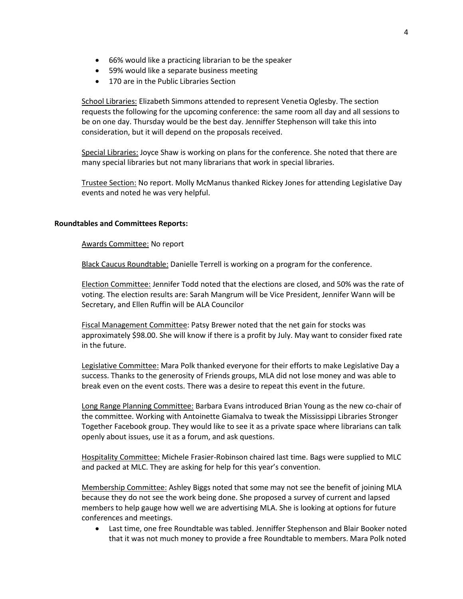- 66% would like a practicing librarian to be the speaker
- 59% would like a separate business meeting
- 170 are in the Public Libraries Section

School Libraries: Elizabeth Simmons attended to represent Venetia Oglesby. The section requests the following for the upcoming conference: the same room all day and all sessions to be on one day. Thursday would be the best day. Jenniffer Stephenson will take this into consideration, but it will depend on the proposals received.

Special Libraries: Joyce Shaw is working on plans for the conference. She noted that there are many special libraries but not many librarians that work in special libraries.

Trustee Section: No report. Molly McManus thanked Rickey Jones for attending Legislative Day events and noted he was very helpful.

#### **Roundtables and Committees Reports:**

Awards Committee: No report

Black Caucus Roundtable: Danielle Terrell is working on a program for the conference.

Election Committee: Jennifer Todd noted that the elections are closed, and 50% was the rate of voting. The election results are: Sarah Mangrum will be Vice President, Jennifer Wann will be Secretary, and Ellen Ruffin will be ALA Councilor

Fiscal Management Committee: Patsy Brewer noted that the net gain for stocks was approximately \$98.00. She will know if there is a profit by July. May want to consider fixed rate in the future.

Legislative Committee: Mara Polk thanked everyone for their efforts to make Legislative Day a success. Thanks to the generosity of Friends groups, MLA did not lose money and was able to break even on the event costs. There was a desire to repeat this event in the future.

Long Range Planning Committee: Barbara Evans introduced Brian Young as the new co-chair of the committee. Working with Antoinette Giamalva to tweak the Mississippi Libraries Stronger Together Facebook group. They would like to see it as a private space where librarians can talk openly about issues, use it as a forum, and ask questions.

Hospitality Committee: Michele Frasier-Robinson chaired last time. Bags were supplied to MLC and packed at MLC. They are asking for help for this year's convention.

Membership Committee: Ashley Biggs noted that some may not see the benefit of joining MLA because they do not see the work being done. She proposed a survey of current and lapsed members to help gauge how well we are advertising MLA. She is looking at options for future conferences and meetings.

 Last time, one free Roundtable was tabled. Jenniffer Stephenson and Blair Booker noted that it was not much money to provide a free Roundtable to members. Mara Polk noted